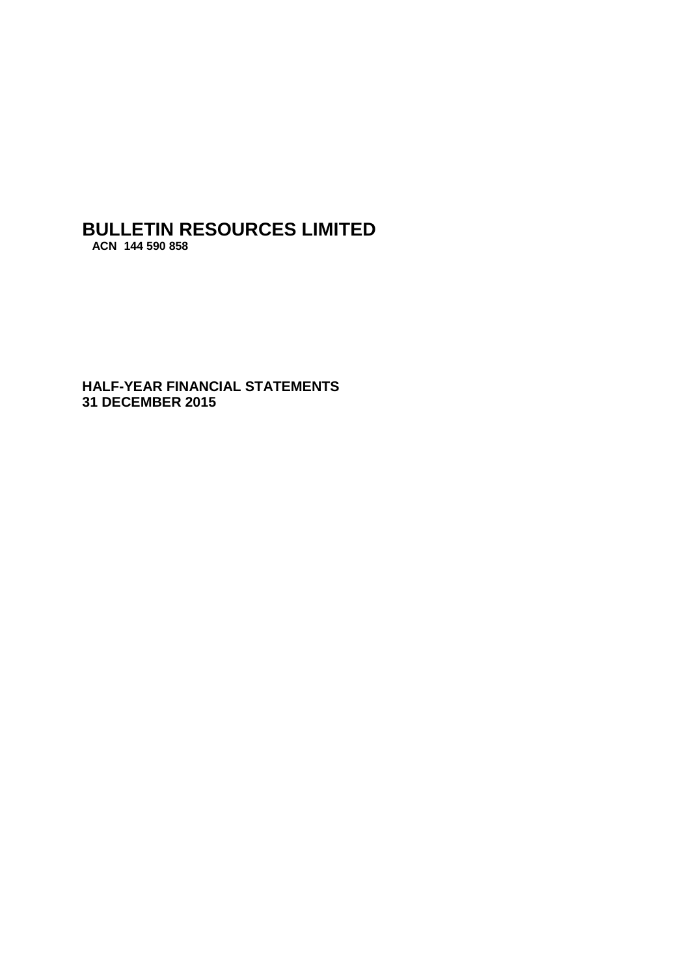**HALF-YEAR FINANCIAL STATEMENTS 31 DECEMBER 2015**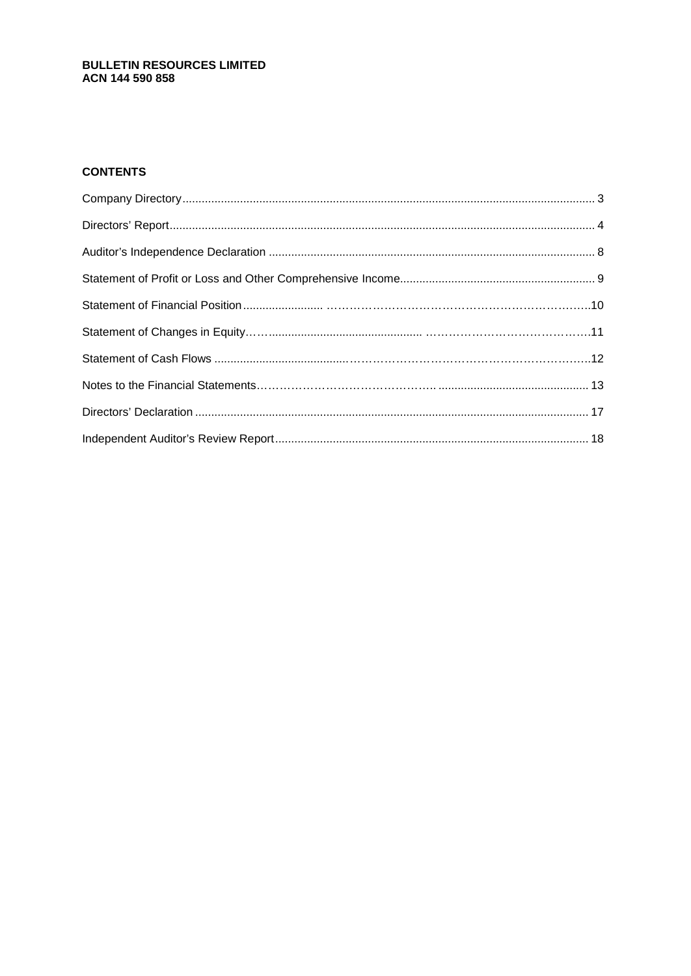#### **CONTENTS**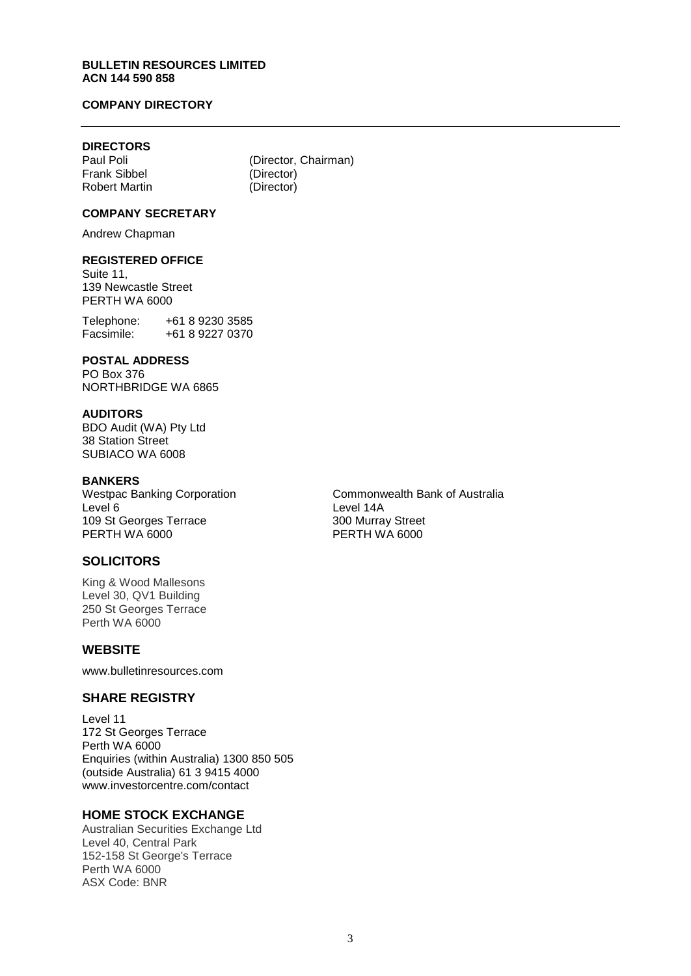#### **COMPANY DIRECTORY**

## **DIRECTORS**

Frank Sibbel (Director)<br>
Robert Martin (Director) Robert Martin

(Director, Chairman)<br>(Director)

#### **COMPANY SECRETARY**

Andrew Chapman

#### **REGISTERED OFFICE**

Suite 11, 139 Newcastle Street PERTH WA 6000

Telephone: +61 8 9230 3585<br>Facsimile: +61 8 9227 0370 Facsimile: +61 8 9227 0370

#### **POSTAL ADDRESS**

PO Box 376 NORTHBRIDGE WA 6865

#### **AUDITORS**

BDO Audit (WA) Pty Ltd 38 Station Street SUBIACO WA 6008

**BANKERS**<br>Westpac Banking Corporation Level 6<br>109 St Georges Terrace 109 St Georges Terrace 2008 109 St Georges Terrace 300 Murray Street<br>
PERTH WA 6000 PERTH WA 6000

#### **SOLICITORS**

King & Wood Mallesons Level 30, QV1 Building 250 St Georges Terrace Perth WA 6000

#### **WEBSITE**

www.bulletinresources.com

#### **SHARE REGISTRY**

Level 11 172 St Georges Terrace Perth WA 6000 Enquiries (within Australia) 1300 850 505 (outside Australia) 61 3 9415 4000 [www.investorcentre.com/contact](http://www.investorcentre.com/contact)

#### **HOME STOCK EXCHANGE**

Australian Securities Exchange Ltd Level 40, Central Park 152-158 St George's Terrace Perth WA 6000 ASX Code: BNR

Commonwealth Bank of Australia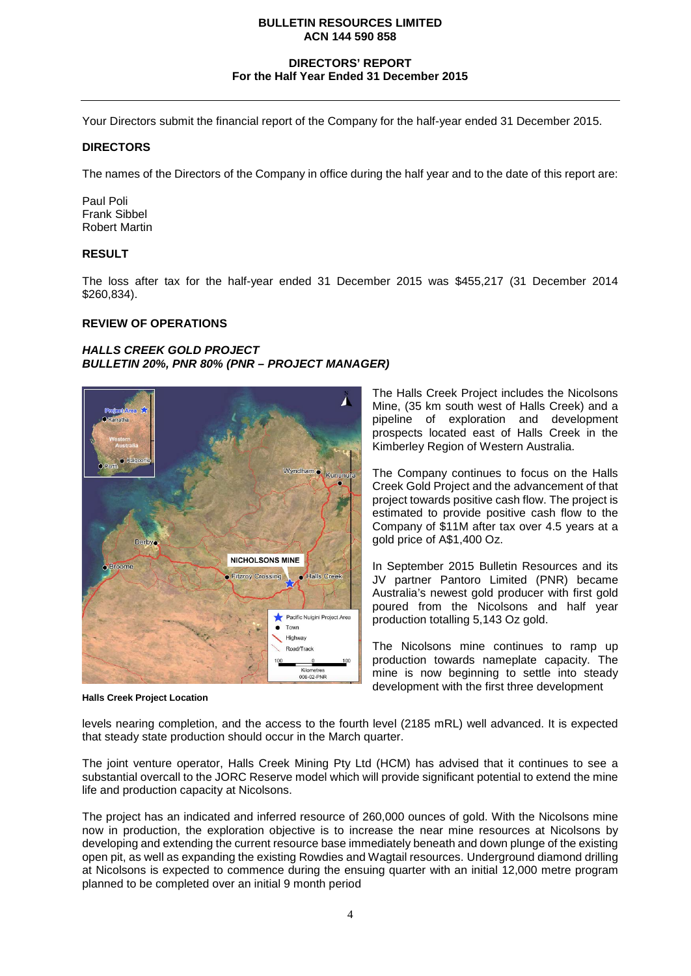#### **DIRECTORS' REPORT For the Half Year Ended 31 December 2015**

Your Directors submit the financial report of the Company for the half-year ended 31 December 2015.

#### **DIRECTORS**

The names of the Directors of the Company in office during the half year and to the date of this report are:

Paul Poli Frank Sibbel Robert Martin

#### **RESULT**

The loss after tax for the half-year ended 31 December 2015 was \$455,217 (31 December 2014 \$260,834).

#### **REVIEW OF OPERATIONS**

#### *HALLS CREEK GOLD PROJECT BULLETIN 20%, PNR 80% (PNR – PROJECT MANAGER)*



**Halls Creek Project Location**

The Halls Creek Project includes the Nicolsons Mine, (35 km south west of Halls Creek) and a pipeline of exploration and development prospects located east of Halls Creek in the Kimberley Region of Western Australia.

The Company continues to focus on the Halls Creek Gold Project and the advancement of that project towards positive cash flow. The project is estimated to provide positive cash flow to the Company of \$11M after tax over 4.5 years at a gold price of A\$1,400 Oz.

In September 2015 Bulletin Resources and its JV partner Pantoro Limited (PNR) became Australia's newest gold producer with first gold poured from the Nicolsons and half year production totalling 5,143 Oz gold.

The Nicolsons mine continues to ramp up production towards nameplate capacity. The mine is now beginning to settle into steady development with the first three development

levels nearing completion, and the access to the fourth level (2185 mRL) well advanced. It is expected that steady state production should occur in the March quarter.

The joint venture operator, Halls Creek Mining Pty Ltd (HCM) has advised that it continues to see a substantial overcall to the JORC Reserve model which will provide significant potential to extend the mine life and production capacity at Nicolsons.

The project has an indicated and inferred resource of 260,000 ounces of gold. With the Nicolsons mine now in production, the exploration objective is to increase the near mine resources at Nicolsons by developing and extending the current resource base immediately beneath and down plunge of the existing open pit, as well as expanding the existing Rowdies and Wagtail resources. Underground diamond drilling at Nicolsons is expected to commence during the ensuing quarter with an initial 12,000 metre program planned to be completed over an initial 9 month period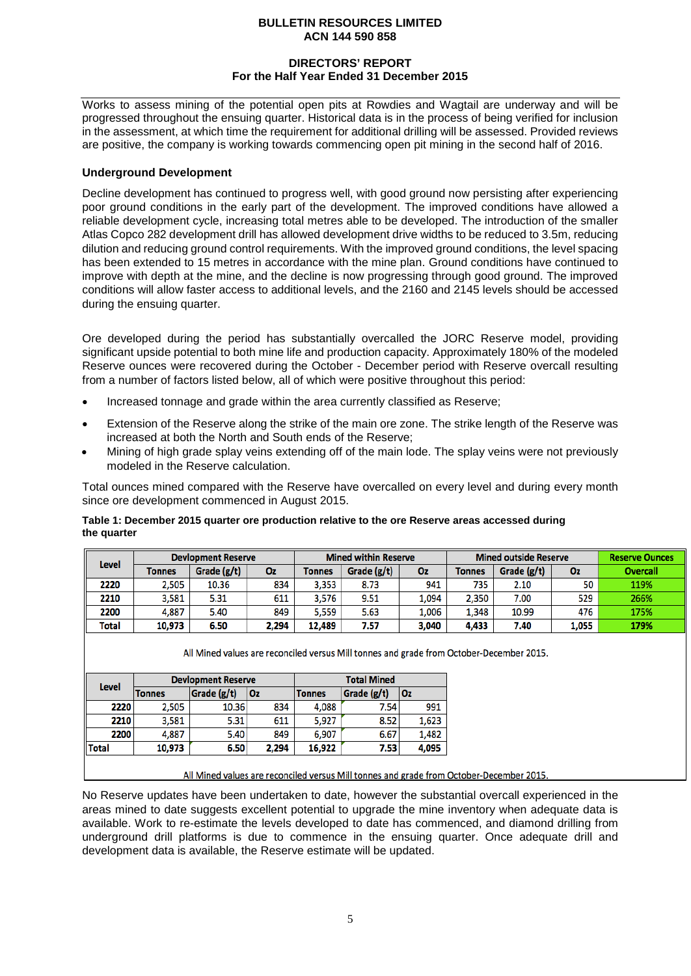#### **DIRECTORS' REPORT For the Half Year Ended 31 December 2015**

Works to assess mining of the potential open pits at Rowdies and Wagtail are underway and will be progressed throughout the ensuing quarter. Historical data is in the process of being verified for inclusion in the assessment, at which time the requirement for additional drilling will be assessed. Provided reviews are positive, the company is working towards commencing open pit mining in the second half of 2016.

#### **Underground Development**

Decline development has continued to progress well, with good ground now persisting after experiencing poor ground conditions in the early part of the development. The improved conditions have allowed a reliable development cycle, increasing total metres able to be developed. The introduction of the smaller Atlas Copco 282 development drill has allowed development drive widths to be reduced to 3.5m, reducing dilution and reducing ground control requirements. With the improved ground conditions, the level spacing has been extended to 15 metres in accordance with the mine plan. Ground conditions have continued to improve with depth at the mine, and the decline is now progressing through good ground. The improved conditions will allow faster access to additional levels, and the 2160 and 2145 levels should be accessed during the ensuing quarter.

Ore developed during the period has substantially overcalled the JORC Reserve model, providing significant upside potential to both mine life and production capacity. Approximately 180% of the modeled Reserve ounces were recovered during the October - December period with Reserve overcall resulting from a number of factors listed below, all of which were positive throughout this period:

- Increased tonnage and grade within the area currently classified as Reserve;
- Extension of the Reserve along the strike of the main ore zone. The strike length of the Reserve was increased at both the North and South ends of the Reserve;
- Mining of high grade splay veins extending off of the main lode. The splay veins were not previously modeled in the Reserve calculation.

Total ounces mined compared with the Reserve have overcalled on every level and during every month since ore development commenced in August 2015.

#### **Table 1: December 2015 quarter ore production relative to the ore Reserve areas accessed during the quarter**

| <b>Level</b> | <b>Devlopment Reserve</b> |             |       | <b>Mined within Reserve</b> |             | <b>Mined outside Reserve</b> |               |             | <b>Reserve Ounces</b> |                 |
|--------------|---------------------------|-------------|-------|-----------------------------|-------------|------------------------------|---------------|-------------|-----------------------|-----------------|
|              | <b>Tonnes</b>             | Grade (g/t) | Oz    | Tonnes                      | Grade (g/t) | Oz                           | <b>Tonnes</b> | Grade (g/t) | 0z                    | <b>Overcall</b> |
| 2220         | 2.505                     | 10.36       | 834   | 3.353                       | 8.73        | 941                          | 735           | 2.10        | 50                    | 119%            |
| 2210         | 3,581                     | 5.31        | 611   | 3.576                       | 9.51        | 1,094                        | 2,350         | 7.00        | 529                   | 266%            |
| 2200         | 4.887                     | 5.40        | 849   | 5,559                       | 5.63        | l.006                        | 1,348         | 10.99       | 476                   | 175%            |
| Total        | 10,973                    | 6.50        | 2,294 | 12,489                      | 7.57        | 3,040                        | 4,433         | 7.40        | 1.055                 | 179%            |

All Mined values are reconciled versus Mill tonnes and grade from October-December 2015.

|       |               | <b>Devlopment Reserve</b> |       | <b>Total Mined</b> |             |       |
|-------|---------------|---------------------------|-------|--------------------|-------------|-------|
| Level | <b>Tonnes</b> | Grade (g/t)               | Oz    | <b>Tonnes</b>      | Grade (g/t) | l Oz  |
| 2220  | 2,505         | 10.36                     | 834   | 4,088              | 7.54        | 991   |
| 2210  | 3,581         | 5.31                      | 611   | 5,927              | 8.52        | 1,623 |
| 2200  | 4,887         | 5.40                      | 849   | 6.907              | 6.67        | 1,482 |
| Total | 10,973        | 6.50                      | 2,294 | 16.922             | 7.53        | 4,095 |

All Mined values are reconciled versus Mill tonnes and grade from October-December 2015.

No Reserve updates have been undertaken to date, however the substantial overcall experienced in the areas mined to date suggests excellent potential to upgrade the mine inventory when adequate data is available. Work to re-estimate the levels developed to date has commenced, and diamond drilling from underground drill platforms is due to commence in the ensuing quarter. Once adequate drill and development data is available, the Reserve estimate will be updated.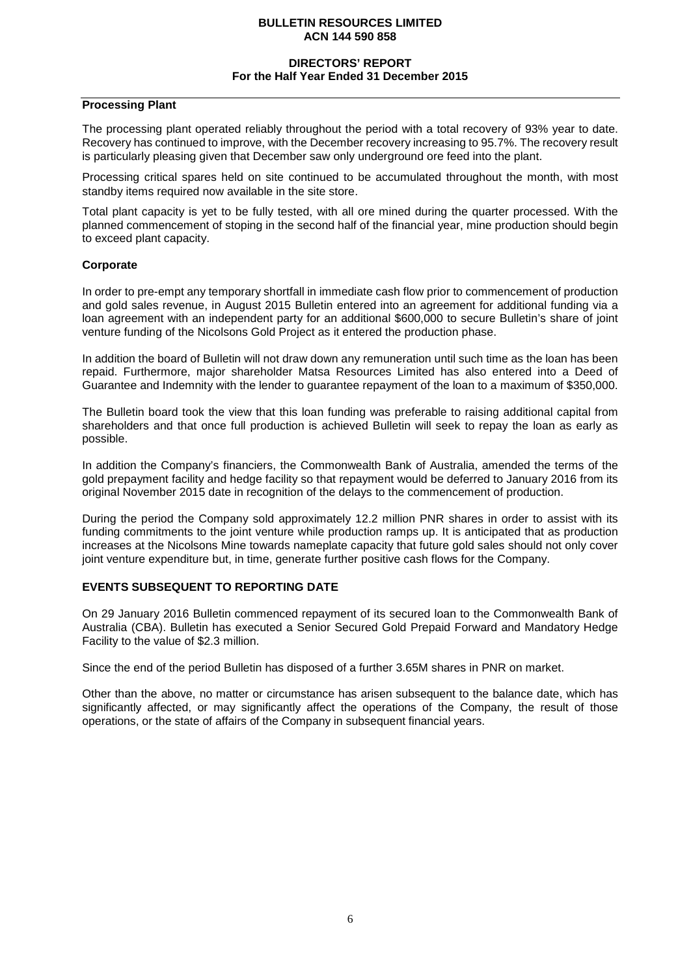#### **DIRECTORS' REPORT For the Half Year Ended 31 December 2015**

#### **Processing Plant**

The processing plant operated reliably throughout the period with a total recovery of 93% year to date. Recovery has continued to improve, with the December recovery increasing to 95.7%. The recovery result is particularly pleasing given that December saw only underground ore feed into the plant.

Processing critical spares held on site continued to be accumulated throughout the month, with most standby items required now available in the site store.

Total plant capacity is yet to be fully tested, with all ore mined during the quarter processed. With the planned commencement of stoping in the second half of the financial year, mine production should begin to exceed plant capacity.

#### **Corporate**

In order to pre-empt any temporary shortfall in immediate cash flow prior to commencement of production and gold sales revenue, in August 2015 Bulletin entered into an agreement for additional funding via a loan agreement with an independent party for an additional \$600,000 to secure Bulletin's share of joint venture funding of the Nicolsons Gold Project as it entered the production phase.

In addition the board of Bulletin will not draw down any remuneration until such time as the loan has been repaid. Furthermore, major shareholder Matsa Resources Limited has also entered into a Deed of Guarantee and Indemnity with the lender to guarantee repayment of the loan to a maximum of \$350,000.

The Bulletin board took the view that this loan funding was preferable to raising additional capital from shareholders and that once full production is achieved Bulletin will seek to repay the loan as early as possible.

In addition the Company's financiers, the Commonwealth Bank of Australia, amended the terms of the gold prepayment facility and hedge facility so that repayment would be deferred to January 2016 from its original November 2015 date in recognition of the delays to the commencement of production.

During the period the Company sold approximately 12.2 million PNR shares in order to assist with its funding commitments to the joint venture while production ramps up. It is anticipated that as production increases at the Nicolsons Mine towards nameplate capacity that future gold sales should not only cover joint venture expenditure but, in time, generate further positive cash flows for the Company.

#### **EVENTS SUBSEQUENT TO REPORTING DATE**

On 29 January 2016 Bulletin commenced repayment of its secured loan to the Commonwealth Bank of Australia (CBA). Bulletin has executed a Senior Secured Gold Prepaid Forward and Mandatory Hedge Facility to the value of \$2.3 million.

Since the end of the period Bulletin has disposed of a further 3.65M shares in PNR on market.

Other than the above, no matter or circumstance has arisen subsequent to the balance date, which has significantly affected, or may significantly affect the operations of the Company, the result of those operations, or the state of affairs of the Company in subsequent financial years.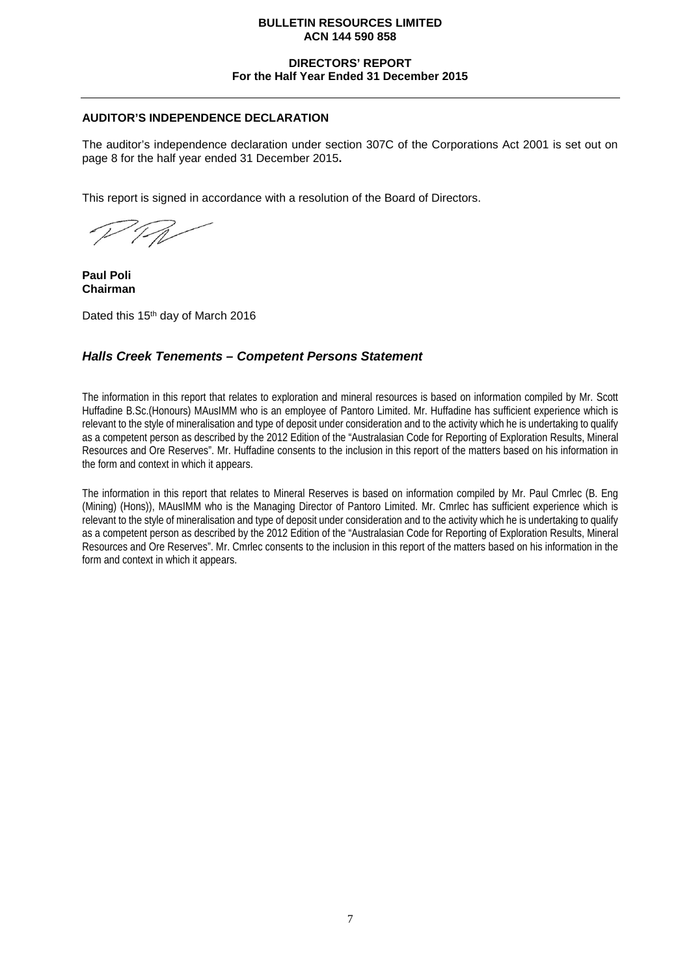#### **DIRECTORS' REPORT For the Half Year Ended 31 December 2015**

#### **AUDITOR'S INDEPENDENCE DECLARATION**

The auditor's independence declaration under section 307C of the Corporations Act 2001 is set out on page 8 for the half year ended 31 December 2015**.**

This report is signed in accordance with a resolution of the Board of Directors.

**Paul Poli Chairman**

Dated this 15<sup>th</sup> day of March 2016

#### *Halls Creek Tenements – Competent Persons Statement*

The information in this report that relates to exploration and mineral resources is based on information compiled by Mr. Scott Huffadine B.Sc.(Honours) MAusIMM who is an employee of Pantoro Limited. Mr. Huffadine has sufficient experience which is relevant to the style of mineralisation and type of deposit under consideration and to the activity which he is undertaking to qualify as a competent person as described by the 2012 Edition of the "Australasian Code for Reporting of Exploration Results, Mineral Resources and Ore Reserves". Mr. Huffadine consents to the inclusion in this report of the matters based on his information in the form and context in which it appears.

The information in this report that relates to Mineral Reserves is based on information compiled by Mr. Paul Cmrlec (B. Eng (Mining) (Hons)), MAusIMM who is the Managing Director of Pantoro Limited. Mr. Cmrlec has sufficient experience which is relevant to the style of mineralisation and type of deposit under consideration and to the activity which he is undertaking to qualify as a competent person as described by the 2012 Edition of the "Australasian Code for Reporting of Exploration Results, Mineral Resources and Ore Reserves". Mr. Cmrlec consents to the inclusion in this report of the matters based on his information in the form and context in which it appears.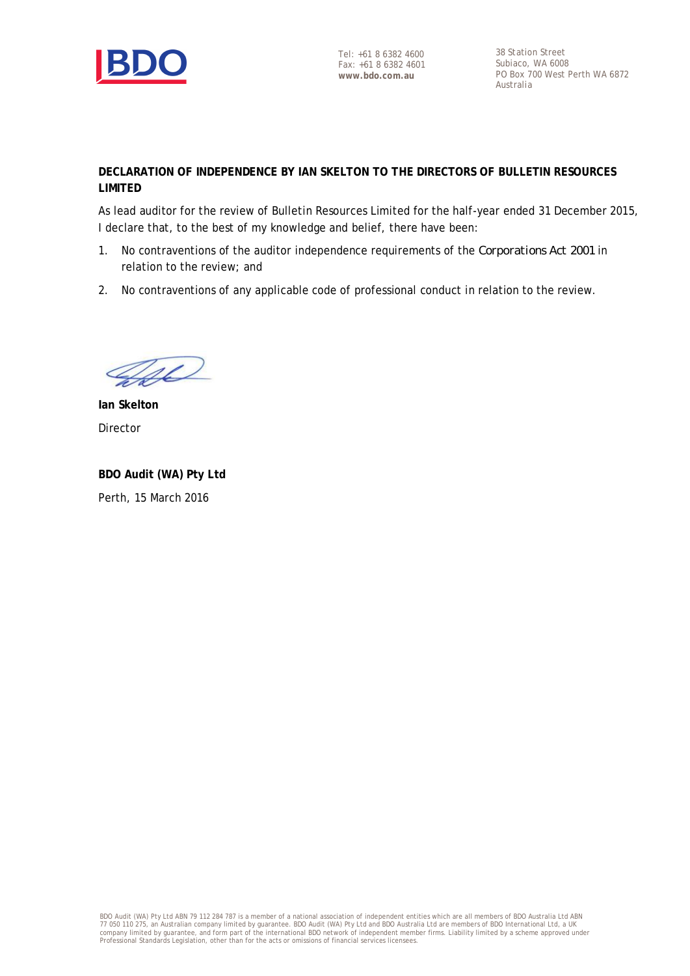

Tel: +61 8 6382 4600 Fax: +61 8 6382 4601 **www.bdo.com.au**

38 Station Street Subiaco, WA 6008 PO Box 700 West Perth WA 6872 Australia

#### **DECLARATION OF INDEPENDENCE BY IAN SKELTON TO THE DIRECTORS OF BULLETIN RESOURCES LIMITED**

As lead auditor for the review of Bulletin Resources Limited for the half-year ended 31 December 2015, I declare that, to the best of my knowledge and belief, there have been:

- 1. No contraventions of the auditor independence requirements of the *Corporations Act 2001* in relation to the review; and
- 2. No contraventions of any applicable code of professional conduct in relation to the review.

Fel

**Ian Skelton** Director

**BDO Audit (WA) Pty Ltd** Perth, 15 March 2016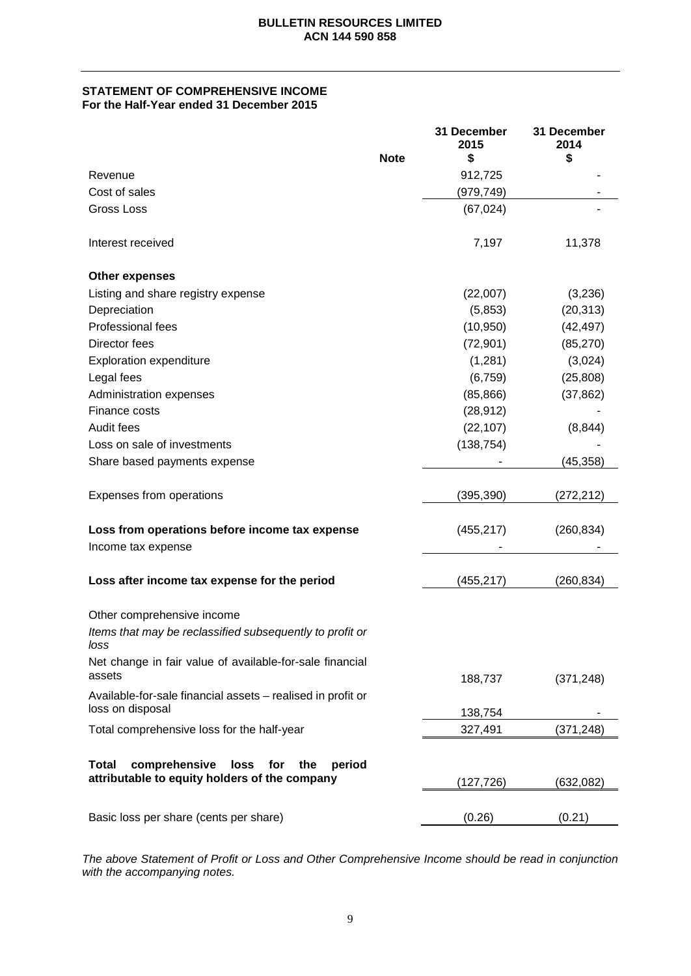#### **STATEMENT OF COMPREHENSIVE INCOME For the Half-Year ended 31 December 2015**

|                                                                                                         |             | 31 December<br>2015 | 31 December<br>2014 |
|---------------------------------------------------------------------------------------------------------|-------------|---------------------|---------------------|
|                                                                                                         | <b>Note</b> | \$                  | \$                  |
| Revenue                                                                                                 |             | 912,725             |                     |
| Cost of sales                                                                                           |             | (979,749)           |                     |
| <b>Gross Loss</b>                                                                                       |             | (67, 024)           |                     |
| Interest received                                                                                       |             | 7,197               | 11,378              |
| <b>Other expenses</b>                                                                                   |             |                     |                     |
| Listing and share registry expense                                                                      |             | (22,007)            | (3,236)             |
| Depreciation                                                                                            |             | (5,853)             | (20, 313)           |
| Professional fees                                                                                       |             | (10, 950)           | (42, 497)           |
| Director fees                                                                                           |             | (72, 901)           | (85, 270)           |
| <b>Exploration expenditure</b>                                                                          |             | (1,281)             | (3,024)             |
| Legal fees                                                                                              |             | (6, 759)            | (25, 808)           |
| Administration expenses                                                                                 |             | (85, 866)           | (37, 862)           |
| Finance costs                                                                                           |             | (28, 912)           |                     |
| Audit fees                                                                                              |             | (22, 107)           | (8, 844)            |
| Loss on sale of investments                                                                             |             | (138, 754)          |                     |
| Share based payments expense                                                                            |             |                     | (45, 358)           |
| Expenses from operations                                                                                |             | (395, 390)          | (272, 212)          |
| Loss from operations before income tax expense                                                          |             | (455, 217)          | (260, 834)          |
| Income tax expense                                                                                      |             |                     |                     |
| Loss after income tax expense for the period                                                            |             | (455, 217)          | (260, 834)          |
| Other comprehensive income<br>Items that may be reclassified subsequently to profit or<br>loss          |             |                     |                     |
| Net change in fair value of available-for-sale financial<br>assets                                      |             | 188,737             | (371, 248)          |
| Available-for-sale financial assets - realised in profit or<br>loss on disposal                         |             | 138,754             |                     |
| Total comprehensive loss for the half-year                                                              |             | 327,491             | (371,248)           |
| Total<br>comprehensive<br>period<br>loss<br>for<br>the<br>attributable to equity holders of the company |             | (127,726)           | (632, 082)          |
| Basic loss per share (cents per share)                                                                  |             | (0.26)              | (0.21)              |

*The above Statement of Profit or Loss and Other Comprehensive Income should be read in conjunction with the accompanying notes.*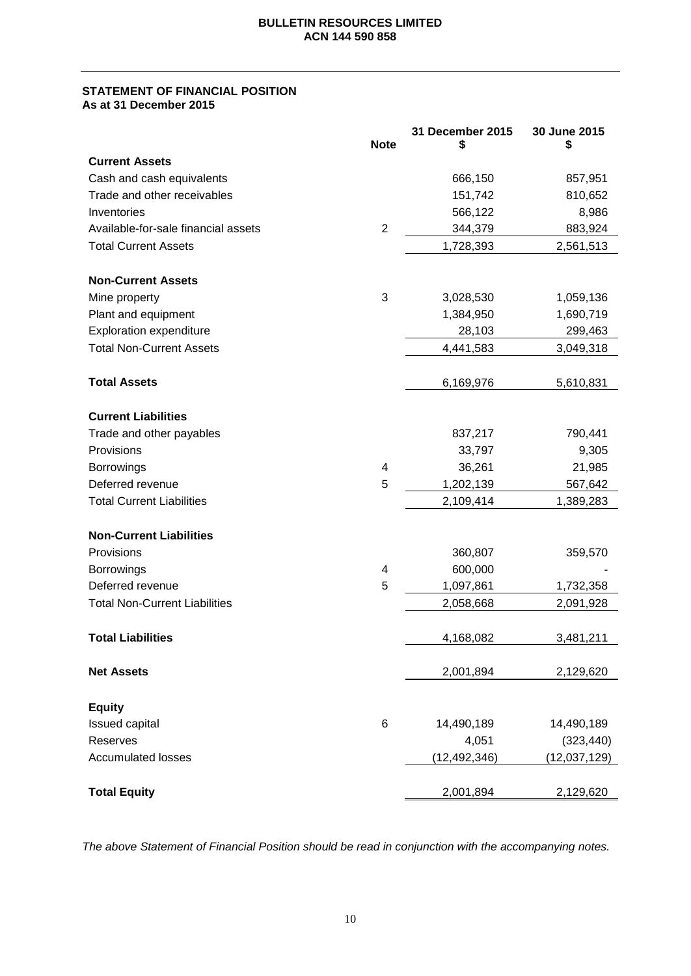#### **STATEMENT OF FINANCIAL POSITION As at 31 December 2015**

|                                      | <b>Note</b>    | 31 December 2015 | 30 June 2015<br>\$ |
|--------------------------------------|----------------|------------------|--------------------|
| <b>Current Assets</b>                |                |                  |                    |
| Cash and cash equivalents            |                | 666,150          | 857,951            |
| Trade and other receivables          |                | 151,742          | 810,652            |
| Inventories                          |                | 566,122          | 8,986              |
| Available-for-sale financial assets  | $\overline{c}$ | 344,379          | 883,924            |
| <b>Total Current Assets</b>          |                | 1,728,393        | 2,561,513          |
| <b>Non-Current Assets</b>            |                |                  |                    |
| Mine property                        | 3              | 3,028,530        | 1,059,136          |
| Plant and equipment                  |                | 1,384,950        | 1,690,719          |
| <b>Exploration expenditure</b>       |                | 28,103           | 299,463            |
| <b>Total Non-Current Assets</b>      |                | 4,441,583        | 3,049,318          |
| <b>Total Assets</b>                  |                | 6,169,976        | 5,610,831          |
| <b>Current Liabilities</b>           |                |                  |                    |
| Trade and other payables             |                | 837,217          | 790,441            |
| Provisions                           |                | 33,797           | 9,305              |
| <b>Borrowings</b>                    | 4              | 36,261           | 21,985             |
| Deferred revenue                     | 5              | 1,202,139        | 567,642            |
| <b>Total Current Liabilities</b>     |                | 2,109,414        | 1,389,283          |
| <b>Non-Current Liabilities</b>       |                |                  |                    |
| Provisions                           |                | 360,807          | 359,570            |
| <b>Borrowings</b>                    | 4              | 600,000          |                    |
| Deferred revenue                     | 5              | 1,097,861        | 1,732,358          |
| <b>Total Non-Current Liabilities</b> |                | 2,058,668        | 2,091,928          |
| <b>Total Liabilities</b>             |                | 4,168,082        | 3,481,211          |
| <b>Net Assets</b>                    |                | 2,001,894        | 2,129,620          |
| <b>Equity</b>                        |                |                  |                    |
| <b>Issued capital</b>                | 6              | 14,490,189       | 14,490,189         |
| <b>Reserves</b>                      |                | 4,051            | (323, 440)         |
| <b>Accumulated losses</b>            |                | (12, 492, 346)   | (12,037,129)       |
| <b>Total Equity</b>                  |                | 2,001,894        | 2,129,620          |

*The above Statement of Financial Position should be read in conjunction with the accompanying notes.*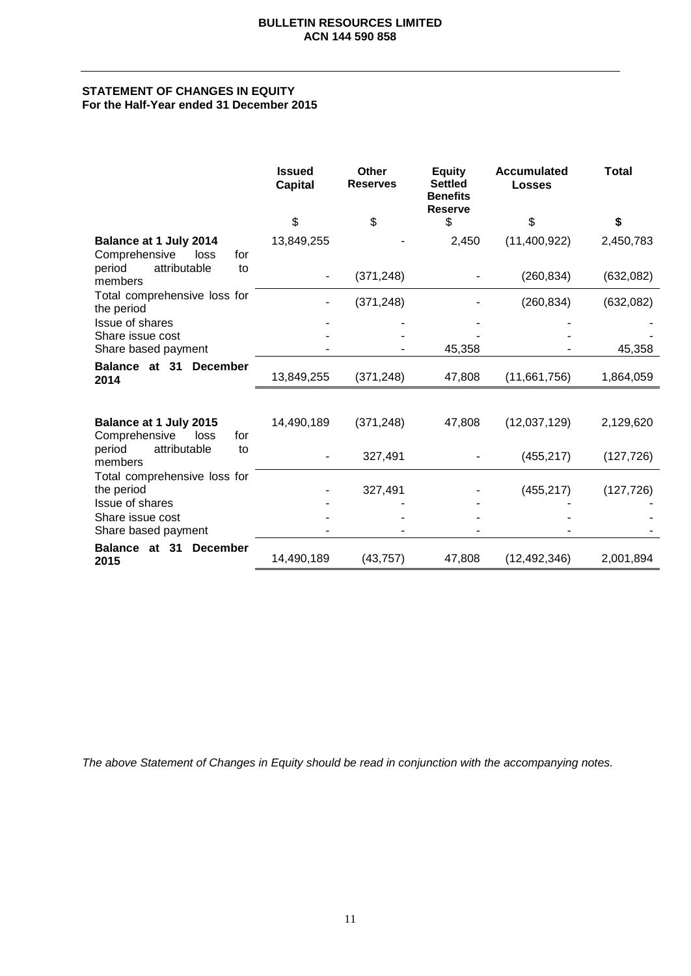#### **STATEMENT OF CHANGES IN EQUITY For the Half-Year ended 31 December 2015**

|                                                        | <b>Issued</b><br><b>Capital</b> | <b>Other</b><br><b>Reserves</b> | <b>Equity</b><br><b>Settled</b><br><b>Benefits</b><br><b>Reserve</b> | <b>Accumulated</b><br><b>Losses</b> | <b>Total</b> |
|--------------------------------------------------------|---------------------------------|---------------------------------|----------------------------------------------------------------------|-------------------------------------|--------------|
|                                                        | \$                              | \$                              | \$                                                                   | \$                                  | \$           |
| Balance at 1 July 2014<br>Comprehensive<br>loss<br>for | 13,849,255                      |                                 | 2,450                                                                | (11,400,922)                        | 2,450,783    |
| attributable<br>period<br>to<br>members                |                                 | (371, 248)                      |                                                                      | (260, 834)                          | (632,082)    |
| Total comprehensive loss for<br>the period             |                                 | (371, 248)                      |                                                                      | (260, 834)                          | (632, 082)   |
| Issue of shares                                        |                                 |                                 |                                                                      |                                     |              |
| Share issue cost<br>Share based payment                |                                 |                                 | 45,358                                                               |                                     | 45,358       |
| Balance at 31 December<br>2014                         | 13,849,255                      | (371, 248)                      | 47,808                                                               | (11,661,756)                        | 1,864,059    |
|                                                        |                                 |                                 |                                                                      |                                     |              |
| Balance at 1 July 2015<br>Comprehensive<br>loss<br>for | 14,490,189                      | (371, 248)                      | 47,808                                                               | (12,037,129)                        | 2,129,620    |
| attributable<br>period<br>to<br>members                |                                 | 327,491                         |                                                                      | (455, 217)                          | (127, 726)   |
| Total comprehensive loss for<br>the period             |                                 | 327,491                         |                                                                      | (455, 217)                          | (127, 726)   |
| <b>Issue of shares</b>                                 |                                 |                                 |                                                                      |                                     |              |
| Share issue cost<br>Share based payment                |                                 |                                 |                                                                      |                                     |              |
| Balance at 31<br><b>December</b><br>2015               | 14,490,189                      | (43, 757)                       | 47,808                                                               | (12, 492, 346)                      | 2,001,894    |

*The above Statement of Changes in Equity should be read in conjunction with the accompanying notes.*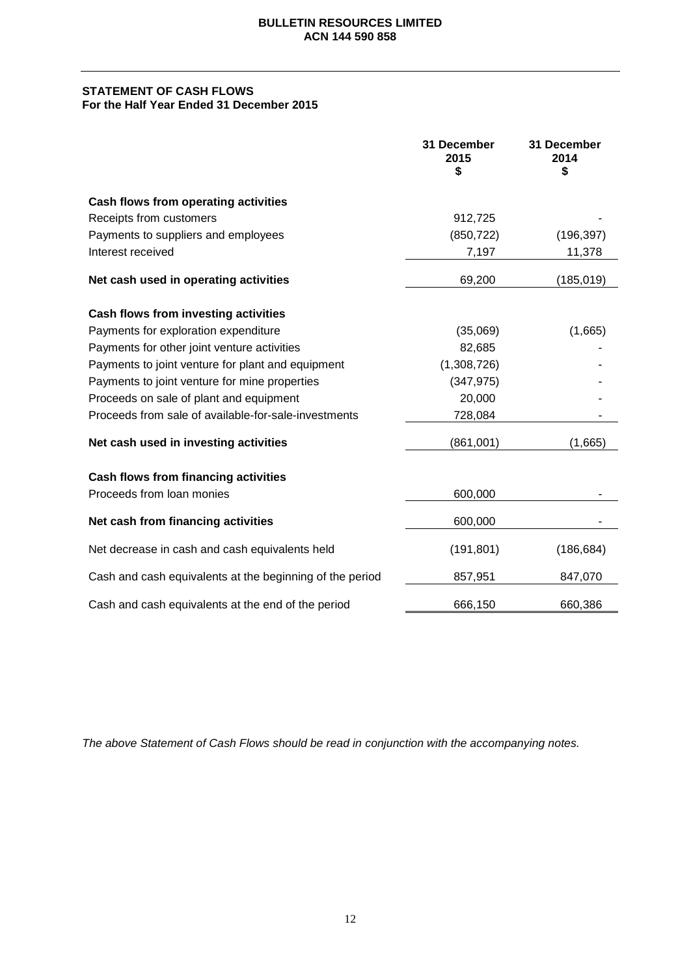#### **STATEMENT OF CASH FLOWS For the Half Year Ended 31 December 2015**

|                                                          | 31 December<br>2015<br>\$ | 31 December<br>2014<br>\$ |
|----------------------------------------------------------|---------------------------|---------------------------|
| Cash flows from operating activities                     |                           |                           |
| Receipts from customers                                  | 912,725                   |                           |
| Payments to suppliers and employees                      | (850, 722)                | (196, 397)                |
| Interest received                                        | 7,197                     | 11,378                    |
| Net cash used in operating activities                    | 69,200                    | (185, 019)                |
| Cash flows from investing activities                     |                           |                           |
| Payments for exploration expenditure                     | (35,069)                  | (1,665)                   |
| Payments for other joint venture activities              | 82,685                    |                           |
| Payments to joint venture for plant and equipment        | (1,308,726)               |                           |
| Payments to joint venture for mine properties            | (347, 975)                |                           |
| Proceeds on sale of plant and equipment                  | 20,000                    |                           |
| Proceeds from sale of available-for-sale-investments     | 728,084                   |                           |
| Net cash used in investing activities                    | (861,001)                 | (1,665)                   |
| <b>Cash flows from financing activities</b>              |                           |                           |
| Proceeds from loan monies                                | 600,000                   |                           |
| Net cash from financing activities                       | 600,000                   |                           |
| Net decrease in cash and cash equivalents held           | (191, 801)                | (186, 684)                |
| Cash and cash equivalents at the beginning of the period | 857,951                   | 847,070                   |
| Cash and cash equivalents at the end of the period       | 666,150                   | 660,386                   |

*The above Statement of Cash Flows should be read in conjunction with the accompanying notes.*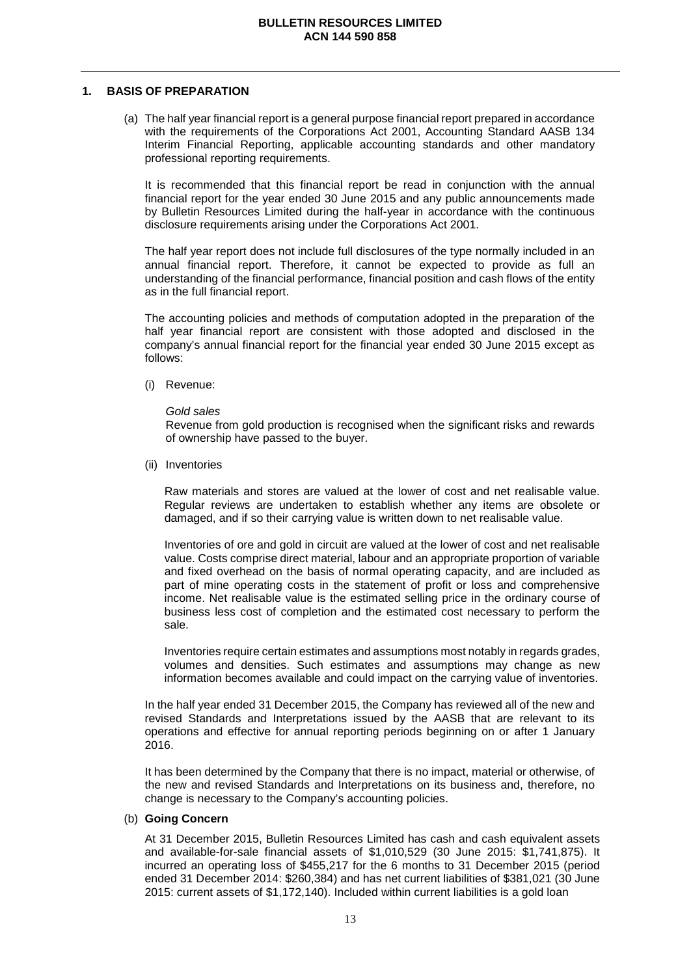#### **1. BASIS OF PREPARATION**

(a) The half year financial report is a general purpose financial report prepared in accordance with the requirements of the Corporations Act 2001, Accounting Standard AASB 134 Interim Financial Reporting, applicable accounting standards and other mandatory professional reporting requirements.

It is recommended that this financial report be read in conjunction with the annual financial report for the year ended 30 June 2015 and any public announcements made by Bulletin Resources Limited during the half-year in accordance with the continuous disclosure requirements arising under the Corporations Act 2001.

The half year report does not include full disclosures of the type normally included in an annual financial report. Therefore, it cannot be expected to provide as full an understanding of the financial performance, financial position and cash flows of the entity as in the full financial report.

The accounting policies and methods of computation adopted in the preparation of the half year financial report are consistent with those adopted and disclosed in the company's annual financial report for the financial year ended 30 June 2015 except as follows:

(i) Revenue:

*Gold sales* 

Revenue from gold production is recognised when the significant risks and rewards of ownership have passed to the buyer.

(ii) Inventories

Raw materials and stores are valued at the lower of cost and net realisable value. Regular reviews are undertaken to establish whether any items are obsolete or damaged, and if so their carrying value is written down to net realisable value.

Inventories of ore and gold in circuit are valued at the lower of cost and net realisable value. Costs comprise direct material, labour and an appropriate proportion of variable and fixed overhead on the basis of normal operating capacity, and are included as part of mine operating costs in the statement of profit or loss and comprehensive income. Net realisable value is the estimated selling price in the ordinary course of business less cost of completion and the estimated cost necessary to perform the sale.

Inventories require certain estimates and assumptions most notably in regards grades, volumes and densities. Such estimates and assumptions may change as new information becomes available and could impact on the carrying value of inventories.

In the half year ended 31 December 2015, the Company has reviewed all of the new and revised Standards and Interpretations issued by the AASB that are relevant to its operations and effective for annual reporting periods beginning on or after 1 January 2016.

It has been determined by the Company that there is no impact, material or otherwise, of the new and revised Standards and Interpretations on its business and, therefore, no change is necessary to the Company's accounting policies.

#### (b) **Going Concern**

At 31 December 2015, Bulletin Resources Limited has cash and cash equivalent assets and available-for-sale financial assets of \$1,010,529 (30 June 2015: \$1,741,875). It incurred an operating loss of \$455,217 for the 6 months to 31 December 2015 (period ended 31 December 2014: \$260,384) and has net current liabilities of \$381,021 (30 June 2015: current assets of \$1,172,140). Included within current liabilities is a gold loan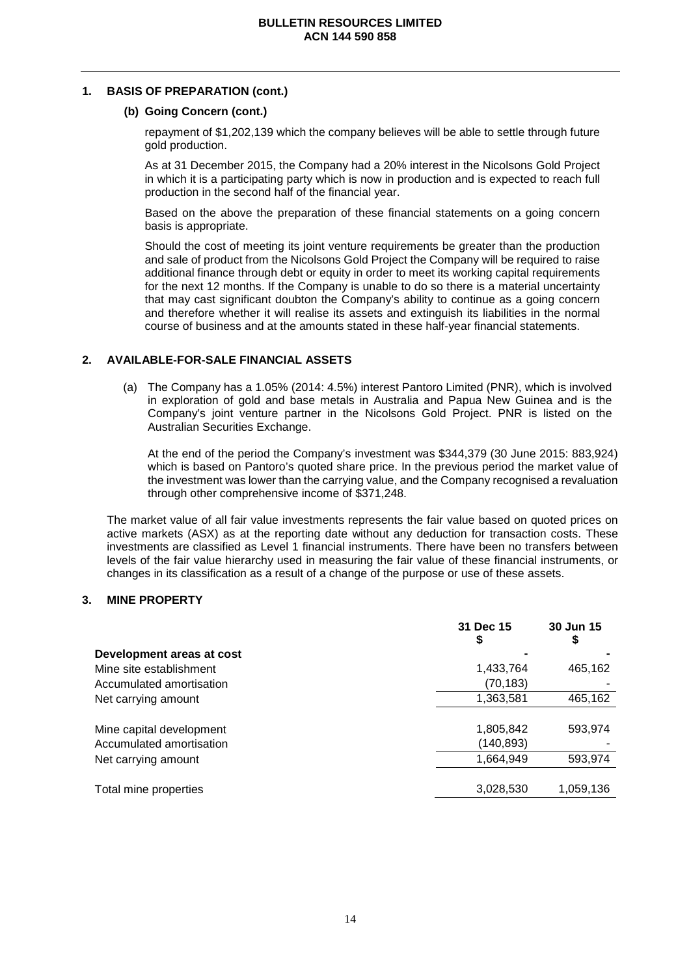#### **1. BASIS OF PREPARATION (cont.)**

#### **(b) Going Concern (cont.)**

repayment of \$1,202,139 which the company believes will be able to settle through future gold production.

As at 31 December 2015, the Company had a 20% interest in the Nicolsons Gold Project in which it is a participating party which is now in production and is expected to reach full production in the second half of the financial year.

Based on the above the preparation of these financial statements on a going concern basis is appropriate.

Should the cost of meeting its joint venture requirements be greater than the production and sale of product from the Nicolsons Gold Project the Company will be required to raise additional finance through debt or equity in order to meet its working capital requirements for the next 12 months. If the Company is unable to do so there is a material uncertainty that may cast significant doubton the Company's ability to continue as a going concern and therefore whether it will realise its assets and extinguish its liabilities in the normal course of business and at the amounts stated in these half-year financial statements.

#### **2. AVAILABLE-FOR-SALE FINANCIAL ASSETS**

(a) The Company has a 1.05% (2014: 4.5%) interest Pantoro Limited (PNR), which is involved in exploration of gold and base metals in Australia and Papua New Guinea and is the Company's joint venture partner in the Nicolsons Gold Project. PNR is listed on the Australian Securities Exchange.

At the end of the period the Company's investment was \$344,379 (30 June 2015: 883,924) which is based on Pantoro's quoted share price. In the previous period the market value of the investment was lower than the carrying value, and the Company recognised a revaluation through other comprehensive income of \$371,248.

The market value of all fair value investments represents the fair value based on quoted prices on active markets (ASX) as at the reporting date without any deduction for transaction costs. These investments are classified as Level 1 financial instruments. There have been no transfers between levels of the fair value hierarchy used in measuring the fair value of these financial instruments, or changes in its classification as a result of a change of the purpose or use of these assets.

#### **3. MINE PROPERTY**

|                           | 31 Dec 15<br>\$ | 30 Jun 15<br>\$ |
|---------------------------|-----------------|-----------------|
| Development areas at cost |                 |                 |
| Mine site establishment   | 1,433,764       | 465,162         |
| Accumulated amortisation  | (70,183)        |                 |
| Net carrying amount       | 1,363,581       | 465,162         |
|                           |                 |                 |
| Mine capital development  | 1,805,842       | 593,974         |
| Accumulated amortisation  | (140, 893)      |                 |
| Net carrying amount       | 1,664,949       | 593,974         |
|                           |                 |                 |
| Total mine properties     | 3,028,530       | 1,059,136       |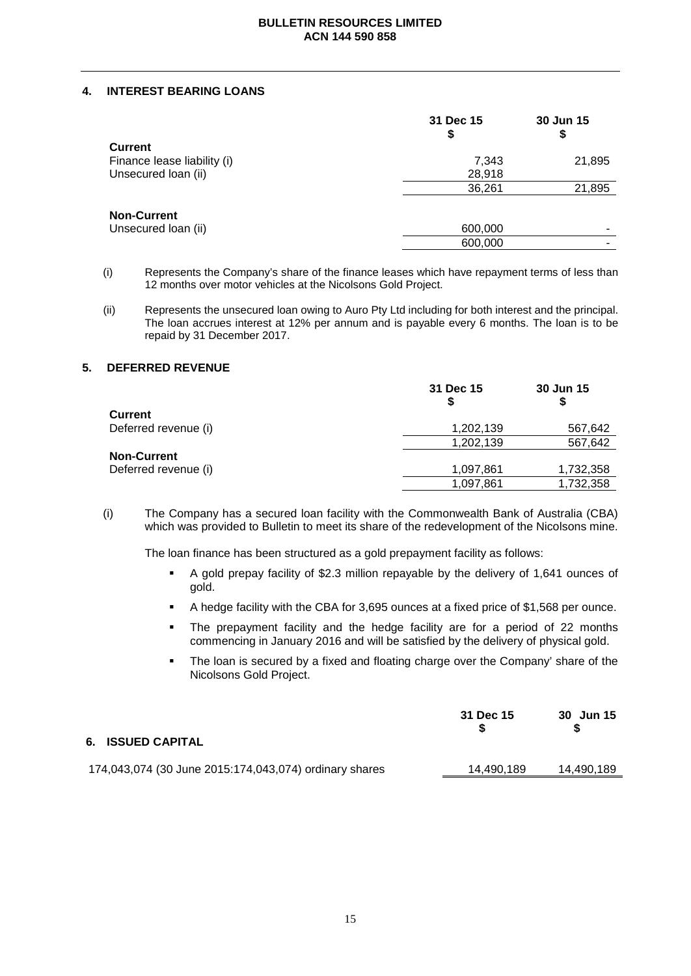#### **4. INTEREST BEARING LOANS**

|                             | 31 Dec 15<br>\$ | 30 Jun 15<br>\$ |
|-----------------------------|-----------------|-----------------|
| <b>Current</b>              |                 |                 |
| Finance lease liability (i) | 7,343           | 21,895          |
| Unsecured loan (ii)         | 28,918          |                 |
|                             | 36,261          | 21,895          |
| <b>Non-Current</b>          |                 |                 |
| Unsecured loan (ii)         | 600,000         |                 |
|                             | 600,000         | -               |

(i) Represents the Company's share of the finance leases which have repayment terms of less than 12 months over motor vehicles at the Nicolsons Gold Project.

(ii) Represents the unsecured loan owing to Auro Pty Ltd including for both interest and the principal. The loan accrues interest at 12% per annum and is payable every 6 months. The loan is to be repaid by 31 December 2017.

#### **5. DEFERRED REVENUE**

|                      | 31 Dec 15 | 30 Jun 15 |
|----------------------|-----------|-----------|
| Current              |           |           |
| Deferred revenue (i) | 1,202,139 | 567,642   |
|                      | 1,202,139 | 567,642   |
| <b>Non-Current</b>   |           |           |
| Deferred revenue (i) | 1,097,861 | 1,732,358 |
|                      | 1,097,861 | 1,732,358 |

(i) The Company has a secured loan facility with the Commonwealth Bank of Australia (CBA) which was provided to Bulletin to meet its share of the redevelopment of the Nicolsons mine.

The loan finance has been structured as a gold prepayment facility as follows:

- A gold prepay facility of \$2.3 million repayable by the delivery of 1,641 ounces of gold.
- A hedge facility with the CBA for 3,695 ounces at a fixed price of \$1,568 per ounce.
- The prepayment facility and the hedge facility are for a period of 22 months commencing in January 2016 and will be satisfied by the delivery of physical gold.
- The loan is secured by a fixed and floating charge over the Company' share of the Nicolsons Gold Project.

| 6. ISSUED CAPITAL                                      | 31 Dec 15  | 30 Jun 15  |
|--------------------------------------------------------|------------|------------|
| 174,043,074 (30 June 2015:174,043,074) ordinary shares | 14,490,189 | 14,490,189 |
|                                                        |            |            |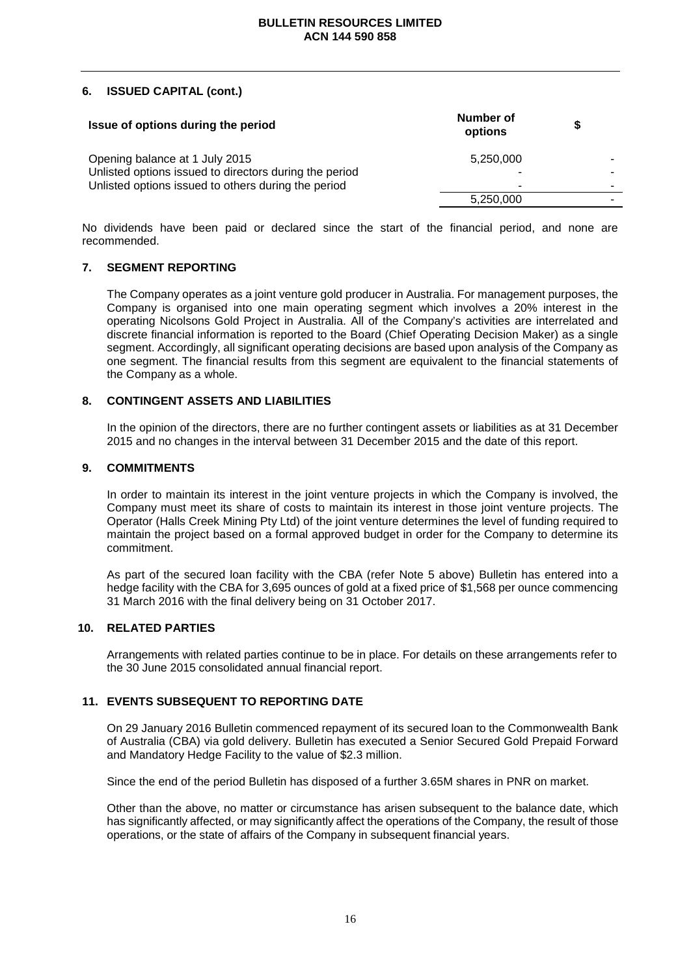#### **6. ISSUED CAPITAL (cont.)**

| Issue of options during the period                                                                            | Number of<br>options |                          |
|---------------------------------------------------------------------------------------------------------------|----------------------|--------------------------|
| Opening balance at 1 July 2015                                                                                | 5,250,000            |                          |
| Unlisted options issued to directors during the period<br>Unlisted options issued to others during the period |                      | $\overline{\phantom{a}}$ |
|                                                                                                               | 5,250,000            |                          |

No dividends have been paid or declared since the start of the financial period, and none are recommended.

#### **7. SEGMENT REPORTING**

The Company operates as a joint venture gold producer in Australia. For management purposes, the Company is organised into one main operating segment which involves a 20% interest in the operating Nicolsons Gold Project in Australia. All of the Company's activities are interrelated and discrete financial information is reported to the Board (Chief Operating Decision Maker) as a single segment. Accordingly, all significant operating decisions are based upon analysis of the Company as one segment. The financial results from this segment are equivalent to the financial statements of the Company as a whole.

#### **8. CONTINGENT ASSETS AND LIABILITIES**

In the opinion of the directors, there are no further contingent assets or liabilities as at 31 December 2015 and no changes in the interval between 31 December 2015 and the date of this report.

#### **9. COMMITMENTS**

In order to maintain its interest in the joint venture projects in which the Company is involved, the Company must meet its share of costs to maintain its interest in those joint venture projects. The Operator (Halls Creek Mining Pty Ltd) of the joint venture determines the level of funding required to maintain the project based on a formal approved budget in order for the Company to determine its commitment.

As part of the secured loan facility with the CBA (refer Note 5 above) Bulletin has entered into a hedge facility with the CBA for 3,695 ounces of gold at a fixed price of \$1,568 per ounce commencing 31 March 2016 with the final delivery being on 31 October 2017.

#### **10. RELATED PARTIES**

Arrangements with related parties continue to be in place. For details on these arrangements refer to the 30 June 2015 consolidated annual financial report.

#### **11. EVENTS SUBSEQUENT TO REPORTING DATE**

On 29 January 2016 Bulletin commenced repayment of its secured loan to the Commonwealth Bank of Australia (CBA) via gold delivery. Bulletin has executed a Senior Secured Gold Prepaid Forward and Mandatory Hedge Facility to the value of \$2.3 million.

Since the end of the period Bulletin has disposed of a further 3.65M shares in PNR on market.

Other than the above, no matter or circumstance has arisen subsequent to the balance date, which has significantly affected, or may significantly affect the operations of the Company, the result of those operations, or the state of affairs of the Company in subsequent financial years.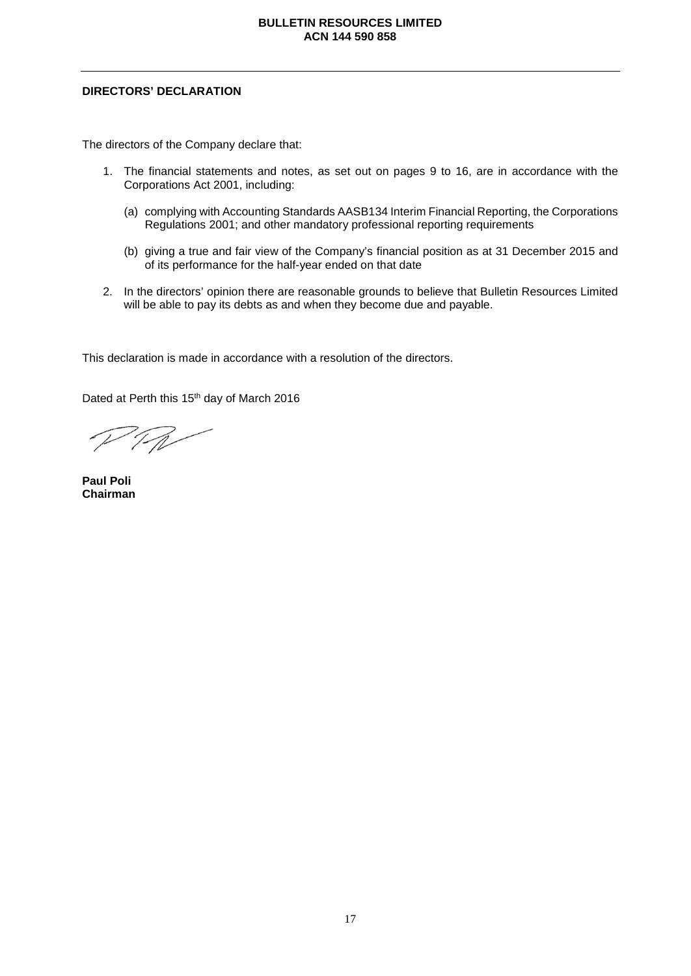#### **DIRECTORS' DECLARATION**

The directors of the Company declare that:

- 1. The financial statements and notes, as set out on pages 9 to 16, are in accordance with the Corporations Act 2001, including:
	- (a) complying with Accounting Standards AASB134 Interim Financial Reporting, the Corporations Regulations 2001; and other mandatory professional reporting requirements
	- (b) giving a true and fair view of the Company's financial position as at 31 December 2015 and of its performance for the half-year ended on that date
- 2. In the directors' opinion there are reasonable grounds to believe that Bulletin Resources Limited will be able to pay its debts as and when they become due and payable.

This declaration is made in accordance with a resolution of the directors.

Dated at Perth this 15<sup>th</sup> day of March 2016

 $7/1$ 

**Paul Poli Chairman**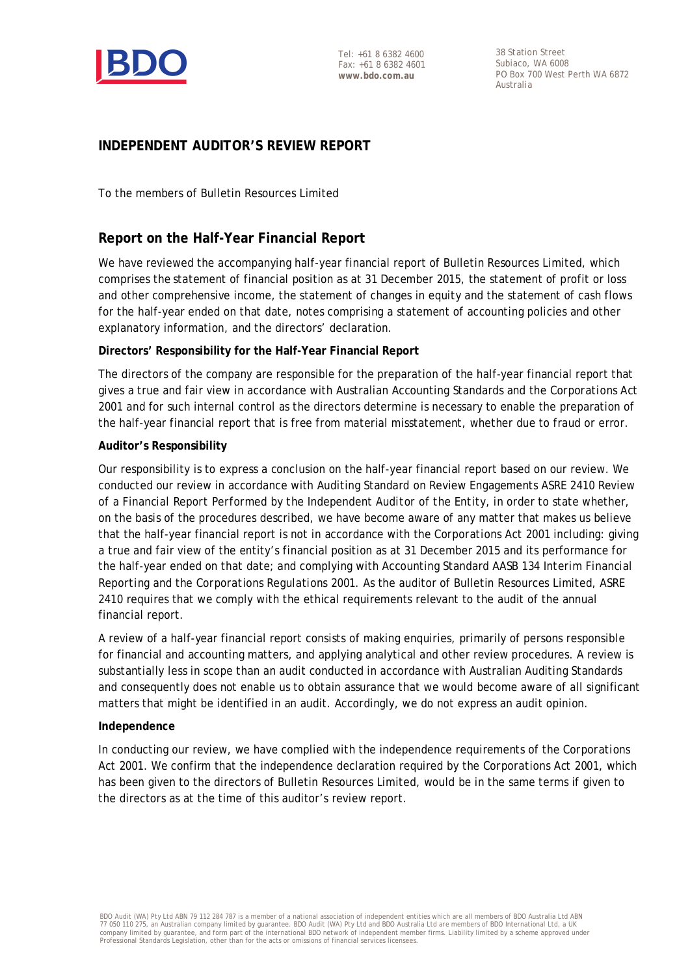

38 Station Street Subiaco, WA 6008 PO Box 700 West Perth WA 6872 Australia

### **INDEPENDENT AUDITOR'S REVIEW REPORT**

To the members of Bulletin Resources Limited

### **Report on the Half-Year Financial Report**

We have reviewed the accompanying half-year financial report of Bulletin Resources Limited, which comprises the statement of financial position as at 31 December 2015, the statement of profit or loss and other comprehensive income, the statement of changes in equity and the statement of cash flows for the half-year ended on that date, notes comprising a statement of accounting policies and other explanatory information, and the directors' declaration.

#### **Directors' Responsibility for the Half-Year Financial Report**

The directors of the company are responsible for the preparation of the half-year financial report that gives a true and fair view in accordance with Australian Accounting Standards and the *Corporations Act 2001* and for such internal control as the directors determine is necessary to enable the preparation of the half-year financial report that is free from material misstatement, whether due to fraud or error.

#### **Auditor's Responsibility**

Our responsibility is to express a conclusion on the half-year financial report based on our review. We conducted our review in accordance with Auditing Standard on Review Engagements ASRE 2410 *Review of a Financial Report Performed by the Independent Auditor of the Entity*, in order to state whether, on the basis of the procedures described, we have become aware of any matter that makes us believe that the half-year financial report is not in accordance with the *Corporations Act 2001* including: giving a true and fair view of the entity's financial position as at 31 December 2015 and its performance for the half-year ended on that date; and complying with Accounting Standard AASB 134 *Interim Financial Reporting* and the *Corporations Regulations 2001*. As the auditor of Bulletin Resources Limited, ASRE 2410 requires that we comply with the ethical requirements relevant to the audit of the annual financial report.

A review of a half-year financial report consists of making enquiries, primarily of persons responsible for financial and accounting matters, and applying analytical and other review procedures. A review is substantially less in scope than an audit conducted in accordance with Australian Auditing Standards and consequently does not enable us to obtain assurance that we would become aware of all significant matters that might be identified in an audit. Accordingly, we do not express an audit opinion.

#### **Independence**

In conducting our review, we have complied with the independence requirements of the *Corporations Act 2001*. We confirm that the independence declaration required by the *Corporations Act 2001,* which has been given to the directors of Bulletin Resources Limited, would be in the same terms if given to the directors as at the time of this auditor's review report.